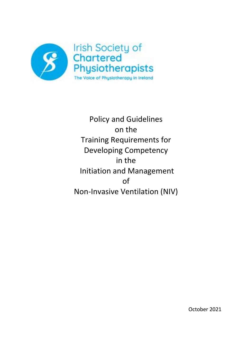

Policy and Guidelines on the Training Requirements for Developing Competency in the Initiation and Management of Non-Invasive Ventilation (NIV)

October 2021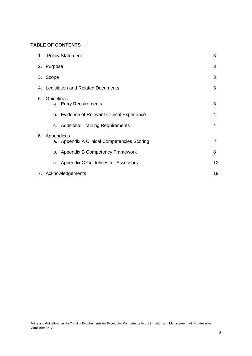## **TABLE OF CONTENTS**

|    | 1. Policy Statement       |                                             | 3  |  |  |
|----|---------------------------|---------------------------------------------|----|--|--|
|    | 2. Purpose                |                                             | 3  |  |  |
|    | 3. Scope                  |                                             |    |  |  |
|    |                           | 4. Legislation and Related Documents        | 3  |  |  |
| 5. | Guidelines                | a. Entry Requirements                       | 3  |  |  |
|    |                           | b. Evidence of Relevant Clinical Experience | 4  |  |  |
|    |                           | c. Additional Training Requirements         | 4  |  |  |
|    | 6. Appendices             | a. Appendix A Clinical Competencies Scoring | 7  |  |  |
|    |                           | b. Appendix B Competency Framework          | 8  |  |  |
|    |                           | c. Appendix C Guidelines for Assessors      | 12 |  |  |
|    | 19<br>7. Acknowledgements |                                             |    |  |  |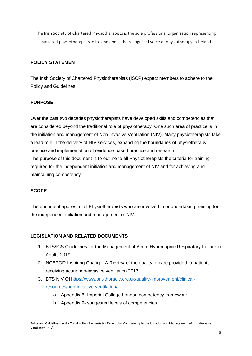The Irish Society of Chartered Physiotherapists is the sole professional organisation representing chartered physiotherapists in Ireland and is the recognised voice of physiotherapy in Ireland.

#### **POLICY STATEMENT**

The Irish Society of Chartered Physiotherapists (ISCP) expect members to adhere to the Policy and Guidelines.

#### **PURPOSE**

Over the past two decades physiotherapists have developed skills and competencies that are considered beyond the traditional role of physiotherapy. One such area of practice is in the initiation and management of Non-Invasive Ventilation (NIV). Many physiotherapists take a lead role in the delivery of NIV services, expanding the boundaries of physiotherapy practice and implementation of evidence-based practice and research. The purpose of this document is to outline to all Physiotherapists the criteria for training

required for the independent initiation and management of NIV and for achieving and maintaining competency.

#### **SCOPE**

The document applies to all Physiotherapists who are involved in or undertaking training for the independent initiation and management of NIV.

#### **LEGISLATION AND RELATED DOCUMENTS**

- 1. BTS/ICS Guidelines for the Management of Acute Hypercapnic Respiratory Failure in Adults 2019
- 2. NCEPOD-Inspiring Change: A Review of the quality of care provided to patients receiving acute non-invasive ventilation 2017
- 3. BTS NIV QI [https://www.brit-thoracic.org.uk/quality-improvement/clinical](https://www.brit-thoracic.org.uk/quality-improvement/clinical-resources/non-invasive-ventilation/)[resources/non-invasive-ventilation/](https://www.brit-thoracic.org.uk/quality-improvement/clinical-resources/non-invasive-ventilation/)
	- a. Appendix 8- Imperial College London competency framework
	- b. Appendix 9- suggested levels of competencies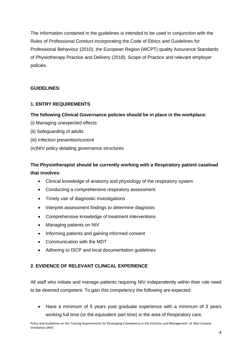The information contained in the guidelines is intended to be used in conjunction with the Rules of Professional Conduct incorporating the Code of Ethics and Guidelines for Professional Behaviour (2010), the European Region (WCPT) quality Assurance Standards of Physiotherapy Practice and Delivery (2018), Scope of Practice and relevant employer policies.

### **GUIDELINES:**

## **1. ENTRY REQUIREMENTS**

#### **The following Clinical Governance policies should be in place in the workplace:**

- (i) Managing unexpected effects
- (ii) Safeguarding of adults
- (iii) Infection prevention/control
- (iv)NIV policy detailing governance structures

# **The Physiotherapist should be currently working with a Respiratory patient caseload that involves:**

- Clinical knowledge of anatomy and physiology of the respiratory system
- Conducting a comprehensive respiratory assessment
- Timely use of diagnostic investigations
- Interpret assessment findings to determine diagnosis
- Comprehensive knowledge of treatment interventions
- Managing patients on NIV
- Informing patients and gaining informed consent
- Communication with the MDT
- Adhering to ISCP and local documentation guidelines

#### **2. EVIDENCE OF RELEVANT CLINICAL EXPERIENCE**

All staff who initiate and manage patients requiring NIV independently within their role need to be deemed competent. To gain this competency the following are expected:

• Have a minimum of 5 years post graduate experience with a minimum of 3 years working full time (or the equivalent part time) in the area of Respiratory care.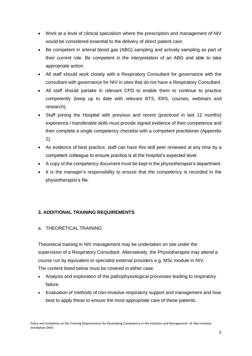- Work at a level of clinical specialism where the prescription and management of NIV would be considered essential to the delivery of direct patient care.
- Be competent in arterial blood gas (ABG) sampling and actively sampling as part of their current role. Be competent in the interpretation of an ABG and able to take appropriate action.
- All staff should work closely with a Respiratory Consultant for governance with the consultant with governance for NIV in sites that do not have a Respiratory Consultant.
- All staff should partake in relevant CPD to enable them to continue to practice competently (keep up to date with relevant BTS, ERS, courses, webinars and research).
- Staff joining the Hospital with previous and recent (practiced in last 12 months) experience / transferable skills must provide signed evidence of their competence and then complete a single competency checklist with a competent practitioner (Appendix 2).
- As evidence of best practice, staff can have this skill peer reviewed at any time by a competent colleague to ensure practice is at the hospital's expected level.
- A copy of the competency document must be kept in the physiotherapist's department.
- It is the manager's responsibility to ensure that the competency is recorded in the physiotherapist's file.

## **3. ADDITIONAL TRAINING REQUIREMENTS**

#### a. THEORETICAL TRAINING

Theoretical training in NIV management may be undertaken on site under the supervision of a Respiratory Consultant. Alternatively, the Physiotherapist may attend a course run by equivalent or specialist external providers e.g. MSc module in NIV. The content listed below must be covered in either case.

- Analysis and exploration of the pathophysiological processes leading to respiratory failure.
- Evaluation of methods of non-invasive respiratory support and management and how best to apply these to ensure the most appropriate care of these patients.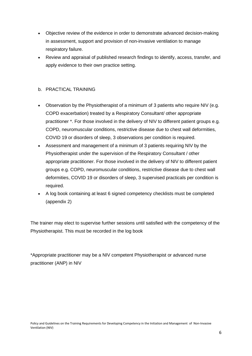- Objective review of the evidence in order to demonstrate advanced decision-making in assessment, support and provision of non-invasive ventilation to manage respiratory failure.
- Review and appraisal of published research findings to identify, access, transfer, and apply evidence to their own practice setting.

## b. PRACTICAL TRAINING

- Observation by the Physiotherapist of a minimum of 3 patients who require NIV (e.g. COPD exacerbation) treated by a Respiratory Consultant/ other appropriate practitioner \*. For those involved in the delivery of NIV to different patient groups e.g. COPD, neuromuscular conditions, restrictive disease due to chest wall deformities, COVID 19 or disorders of sleep, 3 observations per condition is required.
- Assessment and management of a minimum of 3 patients requiring NIV by the Physiotherapist under the supervision of the Respiratory Consultant / other appropriate practitioner. For those involved in the delivery of NIV to different patient groups e.g. COPD, neuromuscular conditions, restrictive disease due to chest wall deformities, COVID 19 or disorders of sleep, 3 supervised practicals per condition is required.
- A log book containing at least 6 signed competency checklists must be completed (appendix 2)

The trainer may elect to supervise further sessions until satisfied with the competency of the Physiotherapist. This must be recorded in the log book

\*Appropriate practitioner may be a NIV competent Physiotherapist or advanced nurse practitioner (ANP) in NIV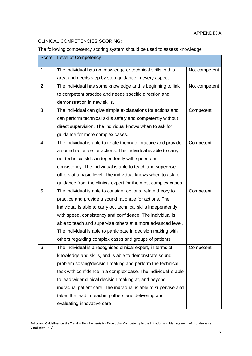## CLINICAL COMPETENCIES SCORING:

The following competency scoring system should be used to assess knowledge

| Score          | <b>Level of Competency</b>                                       |               |
|----------------|------------------------------------------------------------------|---------------|
| 1              | The individual has no knowledge or technical skills in this      | Not competent |
|                | area and needs step by step guidance in every aspect.            |               |
| $\overline{2}$ | The individual has some knowledge and is beginning to link       | Not competent |
|                | to competent practice and needs specific direction and           |               |
|                | demonstration in new skills.                                     |               |
| 3              | The individual can give simple explanations for actions and      | Competent     |
|                | can perform technical skills safely and competently without      |               |
|                | direct supervision. The individual knows when to ask for         |               |
|                | guidance for more complex cases.                                 |               |
| 4              | The individual is able to relate theory to practice and provide  | Competent     |
|                | a sound rationale for actions. The individual is able to carry   |               |
|                | out technical skills independently with speed and                |               |
|                | consistency. The individual is able to teach and supervise       |               |
|                | others at a basic level. The individual knows when to ask for    |               |
|                | guidance from the clinical expert for the most complex cases.    |               |
| 5              | The individual is able to consider options, relate theory to     | Competent     |
|                | practice and provide a sound rationale for actions. The          |               |
|                | individual is able to carry out technical skills independently   |               |
|                | with speed, consistency and confidence. The individual is        |               |
|                | able to teach and supervise others at a more advanced level.     |               |
|                | The individual is able to participate in decision making with    |               |
|                | others regarding complex cases and groups of patients.           |               |
| 6              | The individual is a recognised clinical expert, in terms of      | Competent     |
|                | knowledge and skills, and is able to demonstrate sound           |               |
|                | problem solving/decision making and perform the technical        |               |
|                | task with confidence in a complex case. The individual is able   |               |
|                | to lead wider clinical decision making at, and beyond,           |               |
|                | individual patient care. The individual is able to supervise and |               |
|                | takes the lead in teaching others and delivering and             |               |
|                | evaluating innovative care                                       |               |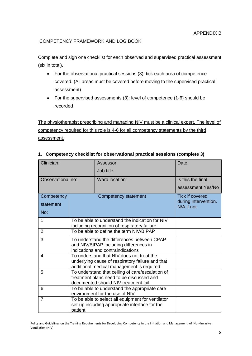#### COMPETENCY FRAMEWORK AND LOG BOOK

Complete and sign one checklist for each observed and supervised practical assessment (six in total).

- For the observational practical sessions (3): tick each area of competence covered. (All areas must be covered before moving to the supervised practical assessment)
- For the supervised assessments (3): level of competence (1-6) should be recorded

The physiotherapist prescribing and managing NIV must be a clinical expert. The level of competency required for this role is 4-6 for all competency statements by the third assessment.

| Clinician:        |         | Assessor:                                                                                                                                  | Date:                              |
|-------------------|---------|--------------------------------------------------------------------------------------------------------------------------------------------|------------------------------------|
|                   |         | Job title:                                                                                                                                 |                                    |
| Observational no: |         | Ward location:                                                                                                                             | Is this the final                  |
|                   |         |                                                                                                                                            | assessment: Yes/No                 |
| Competency        |         | Competency statement                                                                                                                       | <b>Tick if covered</b>             |
| statement         |         |                                                                                                                                            | during intervention.<br>N/A if not |
| No:               |         |                                                                                                                                            |                                    |
| 1                 |         | To be able to understand the indication for NIV<br>including recognition of respiratory failure                                            |                                    |
| $\overline{2}$    |         | To be able to define the term NIV/BIPAP                                                                                                    |                                    |
| 3                 |         | To understand the differences between CPAP<br>and NIV/BIPAP including differences in<br>indications and contraindications                  |                                    |
| 4                 |         | To understand that NIV does not treat the<br>underlying cause of respiratory failure and that<br>additional medical management is required |                                    |
| 5                 |         | To understand that ceiling of care/escalation of<br>treatment plans need to be discussed and<br>documented should NIV treatment fail       |                                    |
| 6                 |         | To be able to understand the appropriate care<br>environment for the use of NIV                                                            |                                    |
| $\overline{7}$    | patient | To be able to select all equipment for ventilator<br>set-up including appropriate interface for the                                        |                                    |

#### **1. Competency checklist for observational practical sessions (complete 3)**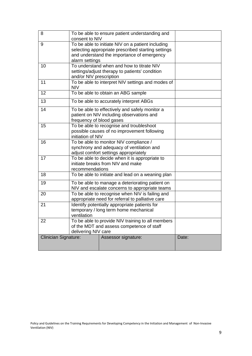| 8                    | To be able to ensure patient understanding and<br>consent to NIV                                                                                                        |                                                                                             |       |  |
|----------------------|-------------------------------------------------------------------------------------------------------------------------------------------------------------------------|---------------------------------------------------------------------------------------------|-------|--|
| 9                    | To be able to initiate NIV on a patient including<br>selecting appropriate prescribed starting settings<br>and understand the importance of emergency<br>alarm settings |                                                                                             |       |  |
| 10                   | and/or NIV prescription                                                                                                                                                 | To understand when and how to titrate NIV<br>settings/adjust therapy to patients' condition |       |  |
| 11                   | <b>NIV</b>                                                                                                                                                              | To be able to interpret NIV settings and modes of                                           |       |  |
| 12                   |                                                                                                                                                                         | To be able to obtain an ABG sample                                                          |       |  |
| 13                   |                                                                                                                                                                         | To be able to accurately interpret ABGs                                                     |       |  |
| 14                   | To be able to effectively and safely monitor a<br>patient on NIV including observations and<br>frequency of blood gases                                                 |                                                                                             |       |  |
| 15                   | To be able to recognise and troubleshoot<br>possible causes of no improvement following<br>initiation of NIV                                                            |                                                                                             |       |  |
| 16                   | To be able to monitor NIV compliance /<br>synchrony and adequacy of ventilation and<br>adjust comfort settings appropriately                                            |                                                                                             |       |  |
| 17                   | To be able to decide when it is appropriate to<br>initiate breaks from NIV and make<br>recommendations                                                                  |                                                                                             |       |  |
| 18                   | To be able to initiate and lead on a weaning plan                                                                                                                       |                                                                                             |       |  |
| 19                   | To be able to manage a deteriorating patient on<br>NIV and escalate concerns to appropriate teams                                                                       |                                                                                             |       |  |
| 20                   | To be able to recognise when NIV is failing and<br>appropriate need for referral to palliative care                                                                     |                                                                                             |       |  |
| 21                   | Identify potentially appropriate patients for<br>temporary / long term home mechanical<br>ventilation                                                                   |                                                                                             |       |  |
| 22                   | To be able to provide NIV training to all members<br>of the MDT and assess competence of staff<br>delivering NIV care                                                   |                                                                                             |       |  |
| Clinician Signature: |                                                                                                                                                                         | Assessor signature:                                                                         | Date: |  |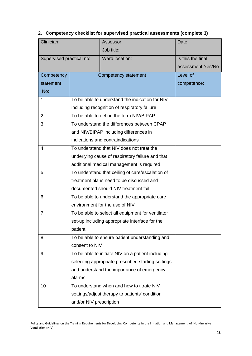|  | 2. Competency checklist for supervised practical assessments (complete 3) |  |
|--|---------------------------------------------------------------------------|--|
|--|---------------------------------------------------------------------------|--|

| Clinician:               |                                                   | Assessor:                                          | Date:              |  |  |
|--------------------------|---------------------------------------------------|----------------------------------------------------|--------------------|--|--|
|                          |                                                   | Job title:                                         |                    |  |  |
| Supervised practical no: |                                                   | Ward location:                                     | Is this the final  |  |  |
|                          |                                                   |                                                    | assessment: Yes/No |  |  |
| Competency               |                                                   | Competency statement                               | Level of           |  |  |
| statement                |                                                   |                                                    | competence:        |  |  |
| No:                      |                                                   |                                                    |                    |  |  |
| 1                        |                                                   | To be able to understand the indication for NIV    |                    |  |  |
|                          |                                                   | including recognition of respiratory failure       |                    |  |  |
| $\overline{2}$           |                                                   | To be able to define the term NIV/BIPAP            |                    |  |  |
| 3                        |                                                   | To understand the differences between CPAP         |                    |  |  |
|                          |                                                   | and NIV/BIPAP including differences in             |                    |  |  |
|                          | indications and contraindications                 |                                                    |                    |  |  |
| 4                        |                                                   | To understand that NIV does not treat the          |                    |  |  |
|                          |                                                   | underlying cause of respiratory failure and that   |                    |  |  |
|                          |                                                   | additional medical management is required          |                    |  |  |
| 5                        |                                                   | To understand that ceiling of care/escalation of   |                    |  |  |
|                          |                                                   | treatment plans need to be discussed and           |                    |  |  |
|                          | documented should NIV treatment fail              |                                                    |                    |  |  |
| 6                        |                                                   | To be able to understand the appropriate care      |                    |  |  |
|                          |                                                   | environment for the use of NIV                     |                    |  |  |
| $\overline{7}$           | To be able to select all equipment for ventilator |                                                    |                    |  |  |
|                          | set-up including appropriate interface for the    |                                                    |                    |  |  |
|                          | patient                                           |                                                    |                    |  |  |
| 8                        | To be able to ensure patient understanding and    |                                                    |                    |  |  |
|                          | consent to NIV                                    |                                                    |                    |  |  |
| 9                        | To be able to initiate NIV on a patient including |                                                    |                    |  |  |
|                          |                                                   | selecting appropriate prescribed starting settings |                    |  |  |
|                          | and understand the importance of emergency        |                                                    |                    |  |  |
|                          | alarms                                            |                                                    |                    |  |  |
| 10                       |                                                   | To understand when and how to titrate NIV          |                    |  |  |
|                          | settings/adjust therapy to patients' condition    |                                                    |                    |  |  |
|                          | and/or NIV prescription                           |                                                    |                    |  |  |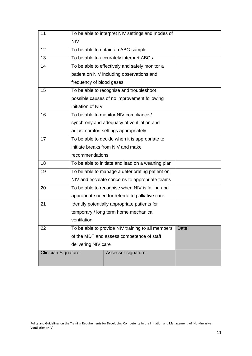| 11                          | To be able to interpret NIV settings and modes of |                                                   |       |  |
|-----------------------------|---------------------------------------------------|---------------------------------------------------|-------|--|
|                             | <b>NIV</b>                                        |                                                   |       |  |
| 12                          |                                                   | To be able to obtain an ABG sample                |       |  |
| 13                          |                                                   | To be able to accurately interpret ABGs           |       |  |
| 14                          |                                                   | To be able to effectively and safely monitor a    |       |  |
|                             |                                                   | patient on NIV including observations and         |       |  |
|                             | frequency of blood gases                          |                                                   |       |  |
| 15                          |                                                   | To be able to recognise and troubleshoot          |       |  |
|                             |                                                   | possible causes of no improvement following       |       |  |
|                             | initiation of NIV                                 |                                                   |       |  |
| 16                          |                                                   | To be able to monitor NIV compliance /            |       |  |
|                             |                                                   | synchrony and adequacy of ventilation and         |       |  |
|                             | adjust comfort settings appropriately             |                                                   |       |  |
| 17                          | To be able to decide when it is appropriate to    |                                                   |       |  |
|                             |                                                   | initiate breaks from NIV and make                 |       |  |
|                             | recommendations                                   |                                                   |       |  |
| 18                          | To be able to initiate and lead on a weaning plan |                                                   |       |  |
| 19                          | To be able to manage a deteriorating patient on   |                                                   |       |  |
|                             |                                                   | NIV and escalate concerns to appropriate teams    |       |  |
| 20                          | To be able to recognise when NIV is failing and   |                                                   |       |  |
|                             | appropriate need for referral to palliative care  |                                                   |       |  |
| 21                          |                                                   | Identify potentially appropriate patients for     |       |  |
|                             |                                                   | temporary / long term home mechanical             |       |  |
|                             | ventilation                                       |                                                   |       |  |
| 22                          |                                                   | To be able to provide NIV training to all members | Date: |  |
|                             | of the MDT and assess competence of staff         |                                                   |       |  |
|                             | delivering NIV care                               |                                                   |       |  |
| <b>Clinician Signature:</b> |                                                   | Assessor signature:                               |       |  |
|                             |                                                   |                                                   |       |  |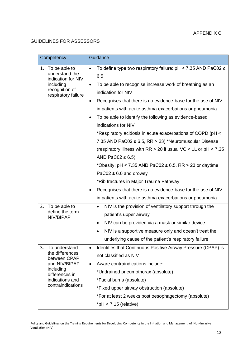# GUIDELINES FOR ASSESSORS

| Competency                                               | Guidance                                                                                    |
|----------------------------------------------------------|---------------------------------------------------------------------------------------------|
| 1. To be able to<br>understand the<br>indication for NIV | To define type two respiratory failure: pH < 7.35 AND PaC02 ≥<br>$\bullet$<br>6.5           |
| including                                                | To be able to recognise increase work of breathing as an<br>$\bullet$                       |
| recognition of<br>respiratory failure                    | indication for NIV                                                                          |
|                                                          | Recognises that there is no evidence-base for the use of NIV<br>$\bullet$                   |
|                                                          | in patients with acute asthma exacerbations or pneumonia                                    |
|                                                          | To be able to identify the following as evidence-based<br>$\bullet$<br>indications for NIV: |
|                                                          | *Respiratory acidosis in acute exacerbations of COPD (pH <                                  |
|                                                          | 7.35 AND PaC02 $\geq$ 6.5, RR $>$ 23) *Neuromuscular Disease                                |
|                                                          | (respiratory illness with $RR > 20$ if usual VC < 1L or $pH < 7.35$                         |
|                                                          | AND PaC02 $\geq$ 6.5)                                                                       |
|                                                          | *Obesity: pH < 7.35 AND PaC02 $\geq$ 6.5, RR > 23 or daytime                                |
|                                                          | PaC02 $\geq$ 6.0 and drowsy                                                                 |
|                                                          | *Rib fractures in Major Trauma Pathway                                                      |
|                                                          | Recognises that there is no evidence-base for the use of NIV                                |
|                                                          | in patients with acute asthma exacerbations or pneumonia                                    |
| To be able to<br>2.<br>define the term                   | NIV is the provision of ventilatory support through the<br>$\bullet$                        |
| NIV/BIPAP                                                | patient's upper airway                                                                      |
|                                                          | NIV can be provided via a mask or similar device<br>$\bullet$                               |
|                                                          | NIV is a supportive measure only and doesn't treat the                                      |
|                                                          | underlying cause of the patient's respiratory failure                                       |
| 3.<br>To understand<br>the differences                   | Identifies that Continuous Positive Airway Pressure (CPAP) is<br>$\bullet$                  |
| between CPAP                                             | not classified as NIV                                                                       |
| and NIV/BIPAP<br>including                               | Aware contraindications include:<br>$\bullet$                                               |
| differences in                                           | *Undrained pneumothorax (absolute)                                                          |
| indications and<br>contraindications                     | *Facial burns (absolute)                                                                    |
|                                                          | *Fixed upper airway obstruction (absolute)                                                  |
|                                                          | *For at least 2 weeks post oesophagectomy (absolute)                                        |
|                                                          | $*$ pH < 7.15 (relative)                                                                    |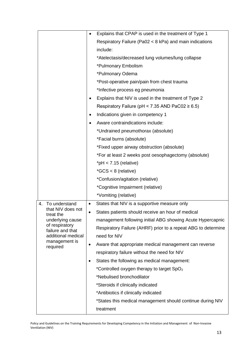|                                     | Explains that CPAP is used in the treatment of Type 1              |
|-------------------------------------|--------------------------------------------------------------------|
|                                     | Respiratory Failure (Pa02 < 8 kPa) and main indications            |
|                                     | include:                                                           |
|                                     | *Atelectasis/decreased lung volumes/lung collapse                  |
|                                     | *Pulmonary Embolism                                                |
|                                     | *Pulmonary Odema                                                   |
|                                     | *Post-operative pain/pain from chest trauma                        |
|                                     | *Infective process eg pneumonia                                    |
|                                     | Explains that NIV is used in the treatment of Type 2               |
|                                     | Respiratory Failure (pH < $7.35$ AND PaC02 $\geq 6.5$ )            |
|                                     | Indications given in competency 1                                  |
|                                     | Aware contraindications include:                                   |
|                                     | *Undrained pneumothorax (absolute)                                 |
|                                     | *Facial burns (absolute)                                           |
|                                     | *Fixed upper airway obstruction (absolute)                         |
|                                     | *For at least 2 weeks post oesophagectomy (absolute)               |
|                                     | *pH $<$ 7.15 (relative)                                            |
|                                     | *GCS < 8 (relative)                                                |
|                                     | *Confusion/agitation (relative)                                    |
|                                     | *Cognitive Impairment (relative)                                   |
|                                     | *Vomiting (relative)                                               |
| To understand<br>4.                 | States that NIV is a supportive measure only<br>$\bullet$          |
| that NIV does not<br>treat the      | States patients should receive an hour of medical                  |
| underlying cause<br>of respiratory  | management following initial ABG showing Acute Hypercapnic         |
| failure and that                    | Respiratory Failure (AHRF) prior to a repeat ABG to determine      |
| additional medical<br>management is | need for NIV                                                       |
| required                            | Aware that appropriate medical management can reverse<br>$\bullet$ |
|                                     | respiratory failure without the need for NIV                       |
|                                     | States the following as medical management:<br>$\bullet$           |
|                                     | *Controlled oxygen therapy to target SpO <sub>2</sub>              |
|                                     | *Nebulised bronchodilator                                          |
|                                     | *Steroids if clinically indicated                                  |
|                                     | *Antibiotics if clinically indicated                               |
|                                     | *States this medical management should continue during NIV         |
|                                     | treatment                                                          |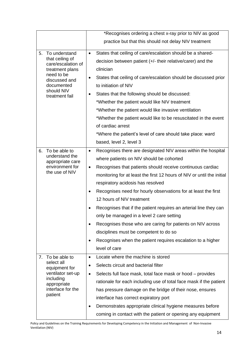|    |                                                              |           | *Recognises ordering a chest x-ray prior to NIV as good                |
|----|--------------------------------------------------------------|-----------|------------------------------------------------------------------------|
|    |                                                              |           | practice but that this should not delay NIV treatment                  |
| 5. | To understand                                                | $\bullet$ | States that ceiling of care/escalation should be a shared-             |
|    | that ceiling of<br>care/escalation of                        |           | decision between patient (+/- their relative/carer) and the            |
|    | treatment plans<br>need to be<br>discussed and<br>documented |           | clinician                                                              |
|    |                                                              | ٠         | States that ceiling of care/escalation should be discussed prior       |
|    |                                                              |           | to initiation of NIV                                                   |
|    | should NIV<br>treatment fail                                 |           | States that the following should be discussed:                         |
|    |                                                              |           | *Whether the patient would like NIV treatment                          |
|    |                                                              |           | *Whether the patient would like invasive ventilation                   |
|    |                                                              |           | *Whether the patient would like to be resuscitated in the event        |
|    |                                                              |           | of cardiac arrest                                                      |
|    |                                                              |           | *Where the patient's level of care should take place: ward             |
|    |                                                              |           | based, level 2, level 3                                                |
| 6. | To be able to                                                | ٠         | Recognises there are designated NIV areas within the hospital          |
|    | understand the<br>appropriate care                           |           | where patients on NIV should be cohorted                               |
|    | environment for<br>the use of NIV                            | $\bullet$ | Recognises that patients should receive continuous cardiac             |
|    |                                                              |           | monitoring for at least the first 12 hours of NIV or until the initial |
|    |                                                              |           | respiratory acidosis has resolved                                      |
|    |                                                              |           | Recognises need for hourly observations for at least the first         |
|    |                                                              |           | 12 hours of NIV treatment                                              |
|    |                                                              |           | Recognises that if the patient requires an arterial line they can      |
|    |                                                              |           | only be managed in a level 2 care setting                              |
|    |                                                              | $\bullet$ | Recognises those who are caring for patients on NIV across             |
|    |                                                              |           | disciplines must be competent to do so                                 |
|    |                                                              |           | Recognises when the patient requires escalation to a higher            |
|    |                                                              |           | level of care                                                          |
| 7. | To be able to                                                | $\bullet$ | Locate where the machine is stored                                     |
|    | select all<br>equipment for                                  | $\bullet$ | Selects circuit and bacterial filter                                   |
|    | ventilator set-up                                            |           | Selects full face mask, total face mask or hood – provides             |
|    | including<br>appropriate                                     |           | rationale for each including use of total face mask if the patient     |
|    | interface for the<br>patient                                 |           | has pressure damage on the bridge of their nose, ensures               |
|    |                                                              |           | interface has correct expiratory port                                  |
|    |                                                              | ٠         | Demonstrates appropriate clinical hygiene measures before              |
|    |                                                              |           | coming in contact with the patient or opening any equipment            |

Policy and Guidelines on the Training Requirements for Developing Competency in the Initiation and Management of Non-Invasive Ventilation (NIV)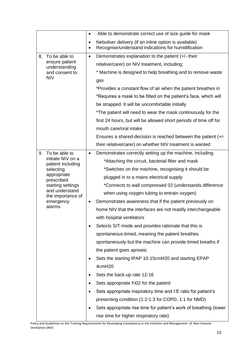|                                        | $\bullet$              | Able to demonstrate correct use of size guide for mask                                                       |
|----------------------------------------|------------------------|--------------------------------------------------------------------------------------------------------------|
|                                        | $\bullet$<br>$\bullet$ | Nebuliser delivery (if an inline option is available)<br>Recognise/understand indications for humidification |
| 8.<br>To be able to                    | $\bullet$              | Demonstrates explanation to the patient (+/- their                                                           |
| ensure patient<br>understanding        |                        | relative/carer) on NIV treatment, including:                                                                 |
| and consent to                         |                        | * Machine is designed to help breathing and to remove waste                                                  |
| <b>NIV</b>                             |                        | gas                                                                                                          |
|                                        |                        | *Provides a constant flow of air when the patient breathes in                                                |
|                                        |                        | *Requires a mask to be fitted on the patient's face, which will                                              |
|                                        |                        | be strapped. It will be uncomfortable initially                                                              |
|                                        |                        | *The patient will need to wear the mask continuously for the                                                 |
|                                        |                        | first 24 hours, but will be allowed short periods of time off for                                            |
|                                        |                        | mouth care/oral intake                                                                                       |
|                                        |                        | Ensures a shared-decision is reached between the patient $(+/-)$                                             |
|                                        |                        | their relative/carer) on whether NIV treatment is wanted                                                     |
| To be able to<br>9.                    | $\bullet$              | Demonstrates correctly setting up the machine, including:                                                    |
| initiate NIV on a<br>patient including |                        | *Attaching the circuit, bacterial filter and mask                                                            |
| selecting                              |                        | *Switches on the machine, recognising it should be                                                           |
| appropriate<br>prescribed              |                        | plugged in to a mains electrical supply                                                                      |
| starting settings<br>and understand    |                        | *Connects to wall compressed 02 (understands difference                                                      |
| the importance of                      |                        | when using oxygen tubing to entrain oxygen)                                                                  |
| emergency<br>alarms                    | $\bullet$              | Demonstrates awareness that if the patient previously on                                                     |
|                                        |                        | home NIV that the interfaces are not readily interchangeable                                                 |
|                                        |                        | with hospital ventilators                                                                                    |
|                                        |                        | Selects S/T mode and provides rationale that this is                                                         |
|                                        |                        | spontaneous-timed, meaning the patient breathes                                                              |
|                                        |                        | spontaneously but the machine can provide timed breaths if                                                   |
|                                        |                        | the patient goes apnoeic                                                                                     |
|                                        |                        | Sets the starting IPAP 10-15cmH20 and starting EPAP                                                          |
|                                        |                        | 4cmH20                                                                                                       |
|                                        |                        | Sets the back-up rate 12-16                                                                                  |
|                                        |                        | Sets appropriate Fi02 for the patient                                                                        |
|                                        |                        | Sets appropriate inspiratory time and I: E ratio for patient's                                               |
|                                        |                        | presenting condition (1:2-1:3 for COPD, 1:1 for NMD)                                                         |
|                                        |                        | Sets appropriate rise time for patient's work of breathing (lower                                            |
|                                        |                        | rise time for higher respiratory rate)                                                                       |

Policy and Guidelines on the Training Requirements for Developing Competency in the Initiation and Management of Non-Invasive Ventilation (NIV)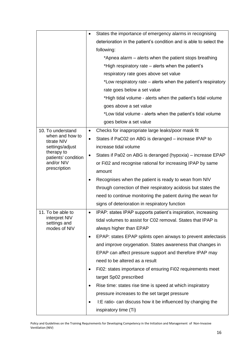|                                   | $\bullet$ | States the importance of emergency alarms in recognising           |
|-----------------------------------|-----------|--------------------------------------------------------------------|
|                                   |           | deterioration in the patient's condition and is able to select the |
|                                   |           | following:                                                         |
|                                   |           | *Apnea alarm – alerts when the patient stops breathing             |
|                                   |           | *High respiratory rate – alerts when the patient's                 |
|                                   |           | respiratory rate goes above set value                              |
|                                   |           | *Low respiratory rate – alerts when the patient's respiratory      |
|                                   |           | rate goes below a set value                                        |
|                                   |           | *High tidal volume - alerts when the patient's tidal volume        |
|                                   |           | goes above a set value                                             |
|                                   |           | *Low tidal volume - alerts when the patient's tidal volume         |
|                                   |           | goes below a set value                                             |
| 10. To understand                 | $\bullet$ | Checks for inappropriate large leaks/poor mask fit                 |
| when and how to<br>titrate NIV    | $\bullet$ | States if PaC02 on ABG is deranged – increase IPAP to              |
| settings/adjust                   |           | increase tidal volume                                              |
| therapy to<br>patients' condition |           | States if Pa02 on ABG is deranged (hypoxia) – increase EPAP        |
| and/or NIV                        |           | or Fi02 and recognise rational for increasing IPAP by same         |
| prescription                      |           | amount                                                             |
|                                   |           | Recognises when the patient is ready to wean from NIV              |
|                                   |           | through correction of their respiratory acidosis but states the    |
|                                   |           | need to continue monitoring the patient during the wean for        |
|                                   |           | signs of deterioration in respiratory function                     |
| 11. To be able to                 |           | IPAP: states IPAP supports patient's inspiration, increasing       |
| interpret NIV<br>settings and     |           | tidal volumes to assist for C02 removal. States that IPAP is       |
| modes of NIV                      |           | always higher than EPAP                                            |
|                                   | $\bullet$ | EPAP: states EPAP splints open airways to prevent atelectasis      |
|                                   |           | and improve oxygenation. States awareness that changes in          |
|                                   |           | EPAP can affect pressure support and therefore IPAP may            |
|                                   |           | need to be altered as a result                                     |
|                                   |           | Fi02: states importance of ensuring Fi02 requirements meet         |
|                                   |           | target Sp02 prescribed                                             |
|                                   |           | Rise time: states rise time is speed at which inspiratory          |
|                                   |           | pressure increases to the set target pressure                      |
|                                   |           | I:E ratio- can discuss how it be influenced by changing the        |
|                                   |           | inspiratory time (Ti)                                              |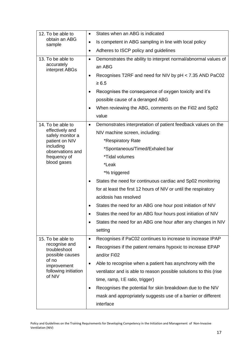| 12. To be able to                                                                                          | States when an ABG is indicated<br>$\bullet$                                 |
|------------------------------------------------------------------------------------------------------------|------------------------------------------------------------------------------|
| obtain an ABG<br>sample                                                                                    | Is competent in ABG sampling in line with local policy<br>٠                  |
|                                                                                                            | Adheres to ISCP policy and guidelines<br>$\bullet$                           |
| 13. To be able to                                                                                          | Demonstrates the ability to interpret normal/abnormal values of<br>$\bullet$ |
| accurately<br>interpret ABGs                                                                               | an ABG                                                                       |
|                                                                                                            | Recognises T2RF and need for NIV by pH < 7.35 AND PaC02                      |
|                                                                                                            | $\geq 6.5$                                                                   |
|                                                                                                            | Recognises the consequence of oxygen toxicity and it's                       |
|                                                                                                            | possible cause of a deranged ABG                                             |
|                                                                                                            | When reviewing the ABG, comments on the Fi02 and Sp02                        |
|                                                                                                            | value                                                                        |
| 14. To be able to                                                                                          | Demonstrates interpretation of patient feedback values on the<br>$\bullet$   |
| effectively and<br>safely monitor a<br>patient on NIV                                                      | NIV machine screen, including:                                               |
|                                                                                                            | *Respiratory Rate                                                            |
| including<br>observations and                                                                              | *Spontaneous/Timed/Exhaled bar                                               |
| frequency of                                                                                               | <i>*Tidal volumes</i>                                                        |
| blood gases                                                                                                | *Leak                                                                        |
|                                                                                                            | *% triggered                                                                 |
|                                                                                                            | States the need for continuous cardiac and Sp02 monitoring                   |
|                                                                                                            | for at least the first 12 hours of NIV or until the respiratory              |
|                                                                                                            | acidosis has resolved                                                        |
|                                                                                                            | States the need for an ABG one hour post initiation of NIV                   |
|                                                                                                            | States the need for an ABG four hours post initiation of NIV                 |
|                                                                                                            | States the need for an ABG one hour after any changes in NIV                 |
|                                                                                                            | setting                                                                      |
| 15. To be able to                                                                                          | Recognises if PaC02 continues to increase to increase IPAP<br>$\bullet$      |
| recognise and<br>troubleshoot<br>possible causes<br>of no<br>improvement<br>following initiation<br>of NIV | Recognises if the patient remains hypoxic to increase EPAP<br>$\bullet$      |
|                                                                                                            | and/or Fi02                                                                  |
|                                                                                                            | Able to recognise when a patient has asynchrony with the<br>$\bullet$        |
|                                                                                                            | ventilator and is able to reason possible solutions to this (rise            |
|                                                                                                            | time, ramp, I:E ratio, trigger)                                              |
|                                                                                                            | Recognises the potential for skin breakdown due to the NIV<br>$\bullet$      |
|                                                                                                            | mask and appropriately suggests use of a barrier or different                |
|                                                                                                            | interface                                                                    |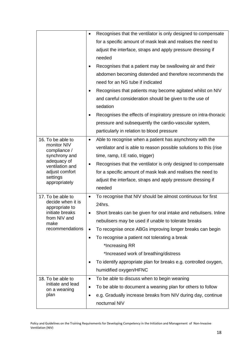|                                         | $\bullet$ | Recognises that the ventilator is only designed to compensate     |
|-----------------------------------------|-----------|-------------------------------------------------------------------|
|                                         |           | for a specific amount of mask leak and realises the need to       |
|                                         |           | adjust the interface, straps and apply pressure dressing if       |
|                                         |           | needed                                                            |
|                                         |           | Recognises that a patient may be swallowing air and their         |
|                                         |           | abdomen becoming distended and therefore recommends the           |
|                                         |           | need for an NG tube if indicated                                  |
|                                         |           | Recognises that patients may become agitated whilst on NIV        |
|                                         |           | and careful consideration should be given to the use of           |
|                                         |           | sedation                                                          |
|                                         | $\bullet$ | Recognises the effects of inspiratory pressure on intra-thoracic  |
|                                         |           | pressure and subsequently the cardio-vascular system,             |
|                                         |           | particularly in relation to blood pressure                        |
| 16. To be able to                       | $\bullet$ | Able to recognise when a patient has asynchrony with the          |
| monitor NIV<br>compliance /             |           | ventilator and is able to reason possible solutions to this (rise |
| synchrony and                           |           | time, ramp, I:E ratio, trigger)                                   |
| adequacy of<br>ventilation and          | $\bullet$ | Recognises that the ventilator is only designed to compensate     |
| adjust comfort                          |           | for a specific amount of mask leak and realises the need to       |
| settings<br>appropriately               |           | adjust the interface, straps and apply pressure dressing if       |
|                                         |           | needed                                                            |
| 17. To be able to                       | $\bullet$ | To recognise that NIV should be almost continuous for first       |
| decide when it is<br>appropriate to     |           | 24hrs.                                                            |
| initiate breaks                         |           | Short breaks can be given for oral intake and nebulisers. Inline  |
| from NIV and<br>make<br>recommendations |           | nebulisers may be used if unable to tolerate breaks               |
|                                         | $\bullet$ | To recognise once ABGs improving longer breaks can begin          |
|                                         | $\bullet$ | To recognise a patient not tolerating a break                     |
|                                         |           | *Increasing RR                                                    |
|                                         |           | *Increased work of breathing/distress                             |
|                                         |           | To identify appropriate plan for breaks e.g. controlled oxygen,   |
|                                         |           | humidified oxygen/HFNC                                            |
| 18. To be able to                       | $\bullet$ | To be able to discuss when to begin weaning                       |
| initiate and lead<br>on a weaning       |           | To be able to document a weaning plan for others to follow        |
| plan                                    | $\bullet$ | e.g. Gradually increase breaks from NIV during day, continue      |
|                                         |           | nocturnal NIV                                                     |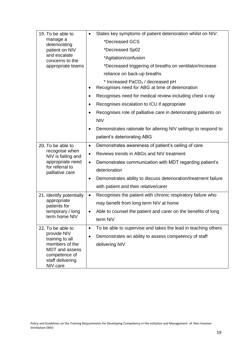| 19. To be able to                                                                          | States key symptoms of patient deterioration whilst on NIV:<br>$\bullet$                         |
|--------------------------------------------------------------------------------------------|--------------------------------------------------------------------------------------------------|
| manage a<br>deteriorating<br>patient on NIV                                                | *Decreased GCS                                                                                   |
|                                                                                            | *Decreased Sp02                                                                                  |
| and escalate<br>concerns to the                                                            | *Agitation/confusion                                                                             |
| appropriate teams                                                                          | *Decreased triggering of breaths on ventilator/increase                                          |
|                                                                                            | reliance on back-up breaths                                                                      |
|                                                                                            | * Increased PaCO <sub>2</sub> / decreased pH<br>Recognises need for ABG at time of deterioration |
|                                                                                            | Recognises need for medical review including chest x-ray                                         |
|                                                                                            | Recognises escalation to ICU if appropriate<br>$\bullet$                                         |
|                                                                                            | Recognises role of palliative care in deteriorating patients on<br>$\bullet$                     |
|                                                                                            | <b>NIV</b>                                                                                       |
|                                                                                            | Demonstrates rationale for altering NIV settings to respond to                                   |
|                                                                                            | patient's deteriorating ABG                                                                      |
| 20. To be able to                                                                          | Demonstrates awareness of patient's ceiling of care<br>$\bullet$                                 |
| recognise when<br>NIV is failing and                                                       | Reviews trends in ABGs and NIV treatment                                                         |
| appropriate need                                                                           | Demonstrates communication with MDT regarding patient's<br>$\bullet$                             |
| for referral to<br>palliative care                                                         | deterioration                                                                                    |
|                                                                                            | Demonstrates ability to discuss deterioration/treatment failure                                  |
|                                                                                            | with patient and their relative/carer                                                            |
| 21. Identify potentially                                                                   | Recognises the patient with chronic respiratory failure who<br>$\bullet$                         |
| appropriate<br>patients for<br>temporary / long<br>term home NIV                           | may benefit from long term NIV at home                                                           |
|                                                                                            | Able to counsel the patient and carer on the benefits of long                                    |
|                                                                                            | term NIV                                                                                         |
| 22. To be able to                                                                          | To be able to supervise and takes the lead in teaching others<br>$\bullet$                       |
| provide NIV<br>training to all<br>members of the<br><b>MDT</b> and assess<br>competence of | Demonstrates an ability to assess competency of staff                                            |
|                                                                                            | delivering NIV                                                                                   |
|                                                                                            |                                                                                                  |
| staff delivering                                                                           |                                                                                                  |
| NIV care                                                                                   |                                                                                                  |